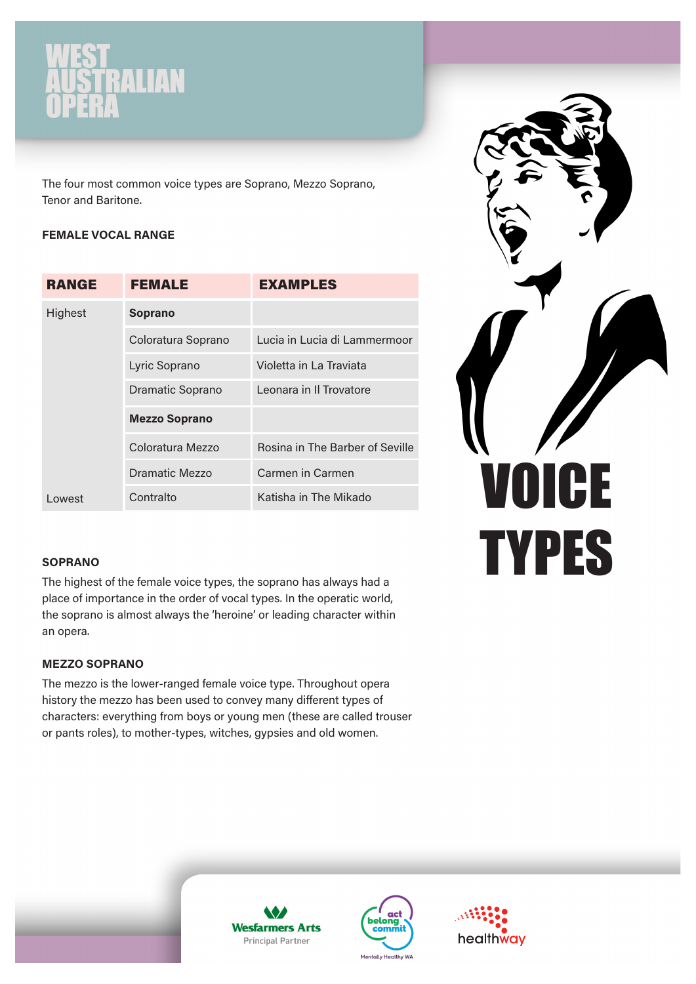# STRALIAN

The four most common voice types are Soprano, Mezzo Soprano, Tenor and Baritone.

# FEMALE VOCAL RANGE

| <b>RANGE</b> | FEMALE                  | <b>EXAMPLES</b>                 |
|--------------|-------------------------|---------------------------------|
| Highest      | <b>Soprano</b>          |                                 |
|              | Coloratura Soprano      | Lucia in Lucia di Lammermoor    |
|              | Lyric Soprano           | Violetta in La Traviata         |
|              | <b>Dramatic Soprano</b> | Leonara in Il Trovatore         |
|              | <b>Mezzo Soprano</b>    |                                 |
|              | Coloratura Mezzo        | Rosina in The Barber of Seville |
|              | Dramatic Mezzo          | Carmen in Carmen                |
| Lowest       | Contralto               | Katisha in The Mikado           |



## **SOPRANO**

The highest of the female voice types, the soprano has always had a place of importance in the order of vocal types. In the operatic world, the soprano is almost always the 'heroine' or leading character within an opera.

# MEZZO SOPRANO

The mezzo is the lower-ranged female voice type. Throughout opera history the mezzo has been used to convey many different types of characters: everything from boys or young men (these are called trouser or pants roles), to mother-types, witches, gypsies and old women.